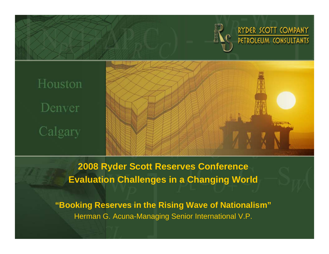

RYDER SCOTT COMPANY PETROLEUM CONSULTANTS

# Houston Denver Calgary



**2008 Ryder Scott Reserves Conference Evaluation Challenges in a Changing World**

**"Booking Reserves in the Rising Wave of Nationalism"** Herman G. Acuna-Managing Senior International V.P.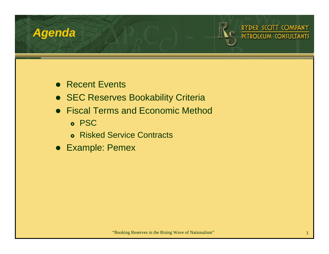### *Agenda*



RYDER SCOTT COMPANY PETROLEUM CONSULTANTS

- Recent Events
- **SEC Reserves Bookability Criteria**
- Fiscal Terms and Economic Method
	- **o** PSC
	- **Risked Service Contracts**
- Example: Pemex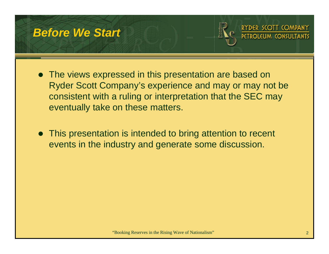### *Before We Start*



SCOTT COMPANY



 $\bullet$  This presentation is intended to bring attention to recent events in the industry and generate some discussion.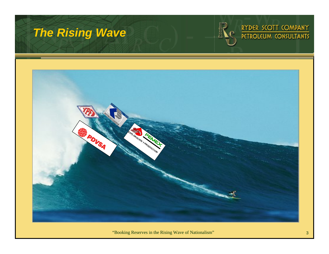# *The Rising Wave*





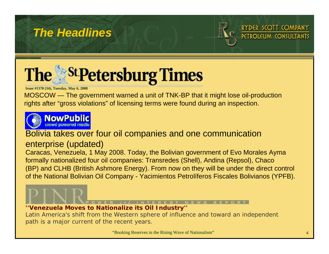# *The Headlines*



DER SCOTT COMPANY



**Issue #1370 (34), Tuesday, May 6, 2008**

MOSCOW — [The government warned a unit of TNK-BP that it might lose oil-production](http://www.sptimes.ru/index.php?i_number=1370)  rights after "gross violations" of licensing terms were found during an inspection.



#### Bolivia takes over four oil companies and one communication

#### enterprise (updated)

Caracas, Venezuela, 1 May 2008. Today, the Bolivian government of Evo Morales Ayma formally nationalized four oil companies: Transredes (Shell), Andina (Repsol), Chaco (BP) and CLHB (British Ashmore Energy). From now on they will be under the direct control of the National Bolivian Oil Company - Yacimientos Petrolíferos Fiscales Bolivianos (YPFB).

#### **''Venezuela Moves to Nationalize its Oil Industry''**

Latin America's shift from the Western sphere of influence and toward an independent path is a major current of the recent years.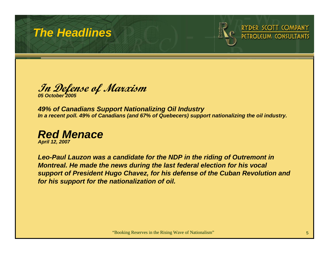# *The Headlines*



RYDER SCOTT COMPANY

**In Defense of Marxism** *05 October 2005*

*49% of Canadians Support Nationalizing Oil Industry In a recent poll. 49% of Canadians (and 67% of Quebecers) support nationalizing the oil industry.*



*Leo-Paul Lauzon was a candidate for the NDP in the riding of Outremont in Montreal. He made the news during the last federal election for his vocal support of President Hugo Chavez, for his defense of the Cuban Revolution and for his support for the nationalization of oil.*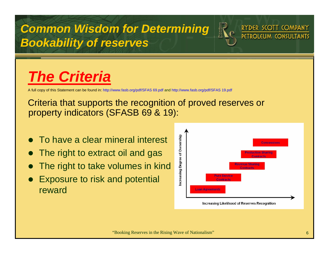*Common Wisdom for Determining Bookability of reserves*



RYDER SCOTT COMPANY

# *The Criteria*

A full copy of this Statement can be found in: http://www.fasb.org/pdf/SFAS 69.pdf and http://www.fasb.org/pdf/SFAS 19.pdf

#### Criteria that supports the recognition of proved reserves or property indicators (SFASB 69 & 19):

- $\bullet$ To have a clear mineral interest
- $\bullet$ The right to extract oil and gas
- $\bullet$ The right to take volumes in kind
- $\bullet$  Exposure to risk and potential reward

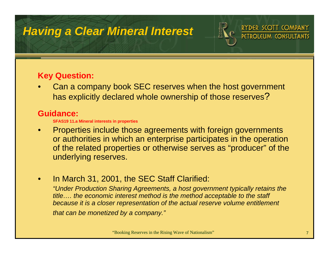# *Having a Clear Mineral Interest*



RYDER SCOTT COMPANY PETROLEI

#### **Key Question:**

• Can a company book SEC reserves when the host government has explicitly declared whole ownership of those reserves ?

#### **Guidance:**

**SFAS19 11.a Mineral interests in properties**

- • Properties include those agreements with foreign governments or authorities in which an enterprise participates in the operation of the related properties or otherwise serves as "producer" of the underlying reserves.
- •In March 31, 2001, the SEC Staff Clarified:

*"Under Production Sharing Agreements, a host government typically retains the title…. the economic interest method is the method acceptable to the staff because it is a closer representation of the actual reserve volume entitlement that can be monetized by a company."*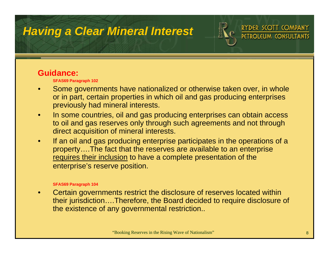# *Having a Clear Mineral Interest*



#### RYDER SCOTT COMPANY **PETROLEUM CONSU**

#### **Guidance:**

**SFAS69 Paragraph 102**

- • Some governments have nationalized or otherwise taken over, in whole or in part, certain properties in which oil and gas producing enterprises previously had mineral interests.
- • In some countries, oil and gas producing enterprises can obtain access to oil and gas reserves only through such agreements and not through direct acquisition of mineral interests.
- • If an oil and gas producing enterprise participates in the operations of a property….The fact that the reserves are available to an enterprise requires their inclusion to have a complete presentation of the enterprise's reserve position.

#### **SFAS69 Paragraph 104**

• Certain governments restrict the disclosure of reserves located within their jurisdiction….Therefore, the Board decided to require disclosure of the existence of any governmental restriction..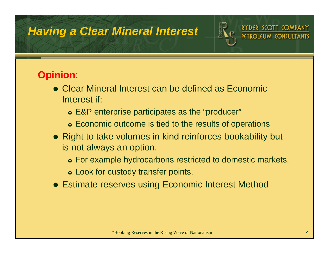# *Having a Clear Mineral Interest*



RYDER SCOTT COMPANY

### **Opinion**:

- Clear Mineral Interest can be defined as Economic Interest if:
	- **E&P enterprise participates as the "producer"**
	- **•** Economic outcome is tied to the results of operations
- Right to take volumes in kind reinforces bookability but is not always an option.
	- **•** For example hydrocarbons restricted to domestic markets.
	- **Look for custody transfer points.**
- Estimate reserves using Economic Interest Method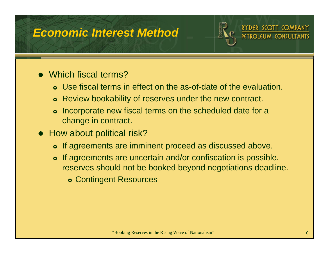# *Economic Interest Method*





- Which fiscal terms?
	- **•** Use fiscal terms in effect on the as-of-date of the evaluation.
	- **•** Review bookability of reserves under the new contract.
	- **•** Incorporate new fiscal terms on the scheduled date for a change in contract.
- How about political risk?
	- **•** If agreements are imminent proceed as discussed above.
	- **•** If agreements are uncertain and/or confiscation is possible, reserves should not be booked beyond negotiations deadline.
		- **Contingent Resources**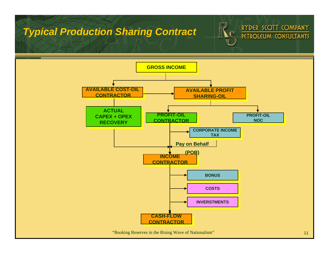#### *Typical Production Sharing Contract*





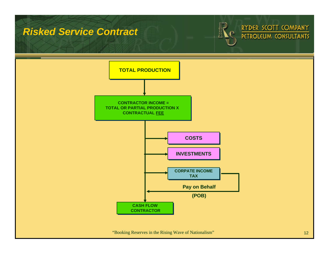#### *Risked Service Contract*





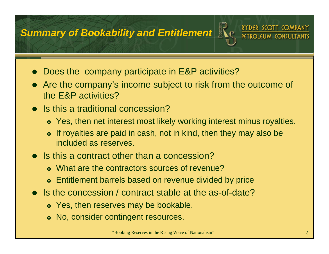### *Summary of Bookability and Entitlement*



- Does the company participate in E&P activities?
- $\bullet$  Are the company's income subject to risk from the outcome of the E&P activities?
- Is this a traditional concession?
	- **•** Yes, then net interest most likely working interest minus royalties.
	- $\bullet$  If royalties are paid in cash, not in kind, then they may also be included as reserves.
- Is this a contract other than a concession?
	- **•** What are the contractors sources of revenue?
	- **•** Entitlement barrels based on revenue divided by price
- Is the concession / contract stable at the as-of-date?
	- Yes, then reserves may be bookable.
	- **No, consider contingent resources.**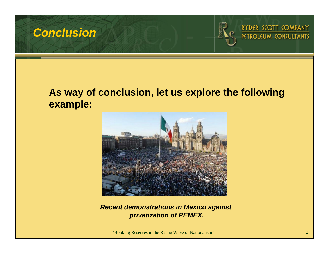





#### **As way of conclusion, let us explore the following example:**



*Recent demonstrations in Mexico against privatization of PEMEX.*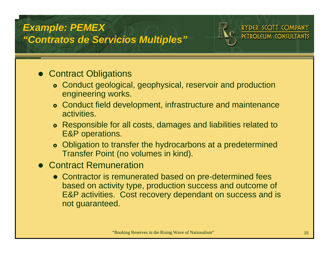#### *Example: PEMEX "Contratos de Servicios Multiples"*





- Contract Obligations
	- **•** Conduct geological, geophysical, reservoir and production engineering works.
	- **Conduct field development, infrastructure and maintenance** activities.
	- **•** Responsible for all costs, damages and liabilities related to E&P operations.
	- Obligation to transfer the hydrocarbons at a predetermined Transfer Point (no volumes in kind).
- **Contract Remuneration** 
	- Contractor is remunerated based on pre-determined fees based on activity type, production success and outcome of E&P activities. Cost recovery dependant on success and is not guaranteed.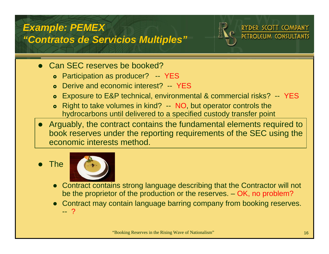



- Can SEC reserves be booked?
	- **•** Participation as producer? -- YES
	- **•** Derive and economic interest? -- YES
	- $\bullet$ Exposure to E&P technical, environmental & commercial risks? -- YES
	- } Right to take volumes in kind? -- NO, but operator controls the hydrocarbons until delivered to a specified custody transfer point
- $\bullet$  Arguably, the contract contains the fundamental elements required to book reserves under the reporting requirements of the SEC using the economic interests method.
- $\bullet$ **The**



- $\bullet$  Contract contains strong language describing that the Contractor will not be the proprietor of the production or the reserves. – OK, no problem?
- $\bullet$  Contract may contain language barring company from booking reserves. -- ?